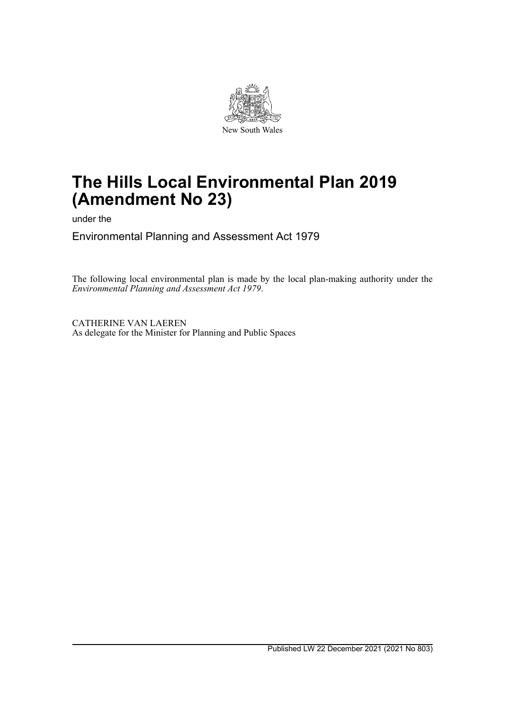

# **The Hills Local Environmental Plan 2019 (Amendment No 23)**

under the

Environmental Planning and Assessment Act 1979

The following local environmental plan is made by the local plan-making authority under the *Environmental Planning and Assessment Act 1979*.

CATHERINE VAN LAEREN As delegate for the Minister for Planning and Public Spaces

Published LW 22 December 2021 (2021 No 803)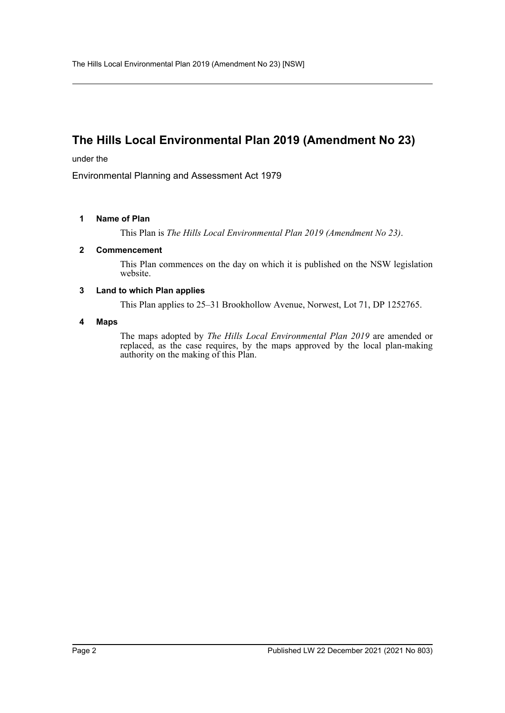## **The Hills Local Environmental Plan 2019 (Amendment No 23)**

under the

Environmental Planning and Assessment Act 1979

### **1 Name of Plan**

This Plan is *The Hills Local Environmental Plan 2019 (Amendment No 23)*.

### **2 Commencement**

This Plan commences on the day on which it is published on the NSW legislation website.

### **3 Land to which Plan applies**

This Plan applies to 25–31 Brookhollow Avenue, Norwest, Lot 71, DP 1252765.

### **4 Maps**

The maps adopted by *The Hills Local Environmental Plan 2019* are amended or replaced, as the case requires, by the maps approved by the local plan-making authority on the making of this Plan.